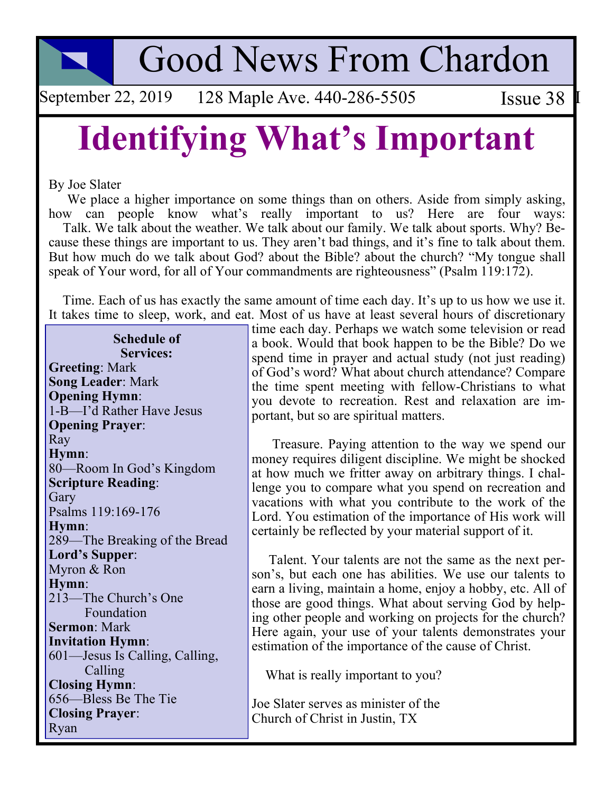**Good News From Chardon** 

September 22, 2019 128 Maple Ave. 440-286-5505 Issue  $38$  I

## **Identifying What's Important**

By Joe Slater

We place a higher importance on some things than on others. Aside from simply asking, how can people know what's really important to us? Here are four ways: Talk. We talk about the weather. We talk about our family. We talk about sports. Why? Because these things are important to us. They aren't bad things, and it's fine to talk about them. But how much do we talk about God? about the Bible? about the church? "My tongue shall speak of Your word, for all of Your commandments are righteousness" (Psalm 119:172).

Time. Each of us has exactly the same amount of time each day. It's up to us how we use it. It takes time to sleep, work, and eat. Most of us have at least several hours of discretionary

**Schedule of Services: Greeting: Mark Song Leader: Mark Opening Hymn:** 1-B-I'd Rather Have Jesus **Opening Prayer:** Ray Hymn: 80-Room In God's Kingdom **Scripture Reading:** Gary Psalms 119:169-176 Hymn: 289—The Breaking of the Bread Lord's Supper: Myron & Ron Hymn: 213-The Church's One Foundation **Sermon: Mark Invitation Hymn:** 601—Jesus Is Calling, Calling, Calling **Closing Hymn:** 656—Bless Be The Tie **Closing Prayer:** Ryan

time each day. Perhaps we watch some television or read a book. Would that book happen to be the Bible? Do we spend time in prayer and actual study (not just reading) of God's word? What about church attendance? Compare the time spent meeting with fellow-Christians to what you devote to recreation. Rest and relaxation are important, but so are spiritual matters.

Treasure. Paying attention to the way we spend our money requires diligent discipline. We might be shocked at how much we fritter away on arbitrary things. I challenge you to compare what you spend on recreation and vacations with what you contribute to the work of the Lord. You estimation of the importance of His work will certainly be reflected by your material support of it.

Talent. Your talents are not the same as the next person's, but each one has abilities. We use our talents to earn a living, maintain a home, enjoy a hobby, etc. All of those are good things. What about serving God by helping other people and working on projects for the church? Here again, your use of your talents demonstrates your estimation of the importance of the cause of Christ.

What is really important to you?

Joe Slater serves as minister of the Church of Christ in Justin, TX